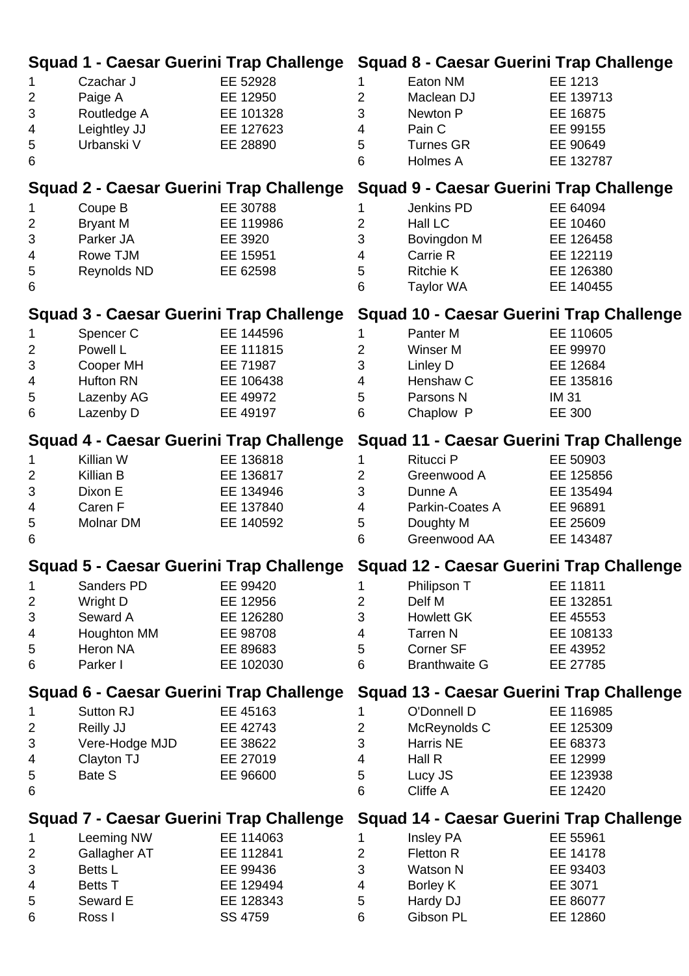|                                         |                                                |                                                 |                | Squad 1 - Caesar Guerini Trap Challenge Squad 8 - Caesar Guerini Trap Challenge  |             |
|-----------------------------------------|------------------------------------------------|-------------------------------------------------|----------------|----------------------------------------------------------------------------------|-------------|
| 1                                       | Czachar J                                      | EE 52928                                        | 1.             | Eaton NM                                                                         | EE 1213     |
| $\overline{2}$                          | Paige A                                        | EE 12950                                        | $\overline{2}$ | Maclean DJ                                                                       | EE 139713   |
| $\ensuremath{\mathsf{3}}$               | Routledge A                                    | EE 101328                                       | 3              | Newton P                                                                         | EE 16875    |
| 4                                       | Leightley JJ                                   | EE 127623                                       | 4              | Pain C                                                                           | EE 99155    |
| 5                                       | Urbanski V                                     | EE 28890                                        | 5              | <b>Turnes GR</b>                                                                 | EE 90649    |
| $6\phantom{1}6$                         |                                                |                                                 | 6              | Holmes A                                                                         | EE 132787   |
|                                         | Squad 2 - Caesar Guerini Trap Challenge        |                                                 |                | <b>Squad 9 - Caesar Guerini Trap Challenge</b>                                   |             |
| 1                                       | Coupe B                                        | EE 30788                                        | 1              | Jenkins PD                                                                       | EE 64094    |
| $\overline{2}$                          | <b>Bryant M</b>                                | EE 119986                                       | $\overline{2}$ | Hall LC                                                                          | EE 10460    |
| $\sqrt{3}$                              | Parker JA                                      | EE 3920                                         | 3              | Bovingdon M                                                                      | EE 126458   |
| 4                                       | Rowe TJM                                       | EE 15951                                        | 4              | Carrie R                                                                         | EE 122119   |
| 5                                       | Reynolds ND                                    | EE 62598                                        | 5              | <b>Ritchie K</b>                                                                 | EE 126380   |
| $6\phantom{1}6$                         |                                                |                                                 | 6              | <b>Taylor WA</b>                                                                 | EE 140455   |
|                                         | <b>Squad 3 - Caesar Guerini Trap Challenge</b> |                                                 |                | <b>Squad 10 - Caesar Guerini Trap Challenge</b>                                  |             |
| 1                                       | Spencer C                                      | EE 144596                                       | 1              | Panter M                                                                         | EE 110605   |
| $\overline{2}$                          | Powell L                                       | EE 111815                                       | $\overline{c}$ | Winser M                                                                         | EE 99970    |
| 3                                       | Cooper MH                                      | EE 71987                                        | 3              | Linley D                                                                         | EE 12684    |
| $\overline{4}$                          | <b>Hufton RN</b>                               | EE 106438                                       | 4              | Henshaw C                                                                        | EE 135816   |
| 5                                       | Lazenby AG                                     | EE 49972                                        | 5              | Parsons N                                                                        | <b>IM31</b> |
| 6                                       | Lazenby D                                      | EE 49197                                        | 6              | Chaplow P                                                                        | EE 300      |
|                                         |                                                |                                                 |                |                                                                                  |             |
|                                         | Squad 4 - Caesar Guerini Trap Challenge        |                                                 |                | <b>Squad 11 - Caesar Guerini Trap Challenge</b>                                  |             |
| 1                                       | Killian W                                      | EE 136818                                       | 1              | Ritucci P                                                                        | EE 50903    |
| $\overline{2}$                          | Killian B                                      | EE 136817                                       | $\overline{2}$ | Greenwood A                                                                      | EE 125856   |
| 3                                       | Dixon E                                        | EE 134946                                       | 3              | Dunne A                                                                          | EE 135494   |
| 4                                       | Caren F                                        | EE 137840                                       | 4              | Parkin-Coates A                                                                  | EE 96891    |
| 5                                       | <b>Molnar DM</b>                               | EE 140592                                       | 5              | Doughty M                                                                        | EE 25609    |
| 6                                       |                                                |                                                 | 6              | Greenwood AA                                                                     | EE 143487   |
|                                         |                                                |                                                 |                | Squad 5 - Caesar Guerini Trap Challenge Squad 12 - Caesar Guerini Trap Challenge |             |
| $\mathbf 1$                             | Sanders PD                                     | EE 99420                                        | 1              | Philipson T                                                                      | EE 11811    |
| $\overline{2}$                          | Wright D                                       | EE 12956                                        | $\overline{2}$ | Delf M                                                                           | EE 132851   |
| 3                                       | Seward A                                       | EE 126280                                       | 3              | <b>Howlett GK</b>                                                                | EE 45553    |
| 4                                       | Houghton MM                                    | EE 98708                                        | 4              | <b>Tarren N</b>                                                                  | EE 108133   |
| 5                                       | Heron NA                                       | EE 89683                                        | 5              | Corner SF                                                                        | EE 43952    |
| 6                                       | Parker I                                       | EE 102030                                       | 6              | <b>Branthwaite G</b>                                                             | EE 27785    |
|                                         | Squad 6 - Caesar Guerini Trap Challenge        |                                                 |                | Squad 13 - Caesar Guerini Trap Challenge                                         |             |
| 1                                       | Sutton RJ                                      | EE 45163                                        | 1.             | O'Donnell D                                                                      | EE 116985   |
| $\overline{2}$                          | Reilly JJ                                      | EE 42743                                        | $\overline{2}$ | McReynolds C                                                                     | EE 125309   |
| 3                                       | Vere-Hodge MJD                                 | EE 38622                                        | 3              | Harris NE                                                                        | EE 68373    |
| 4                                       | Clayton TJ                                     | EE 27019                                        | 4              | Hall R                                                                           | EE 12999    |
| 5                                       | Bate S                                         | EE 96600                                        | 5              | Lucy JS                                                                          | EE 123938   |
| 6                                       |                                                |                                                 | 6              | Cliffe A                                                                         | EE 12420    |
| Squad 7 - Caesar Guerini Trap Challenge |                                                | <b>Squad 14 - Caesar Guerini Trap Challenge</b> |                |                                                                                  |             |
| 1                                       | Leeming NW                                     | EE 114063                                       | 1              | Insley PA                                                                        | EE 55961    |
| $\overline{2}$                          | Gallagher AT                                   | EE 112841                                       | $\overline{2}$ | Fletton R                                                                        | EE 14178    |
| 3                                       | Betts L                                        | EE 99436                                        | 3              | Watson N                                                                         | EE 93403    |
| 4                                       | <b>Betts T</b>                                 | EE 129494                                       | 4              | Borley K                                                                         | EE 3071     |
| 5                                       | Seward E                                       | EE 128343                                       | 5              | Hardy DJ                                                                         | EE 86077    |
| 6                                       | Ross I                                         | SS 4759                                         | 6              | Gibson PL                                                                        | EE 12860    |